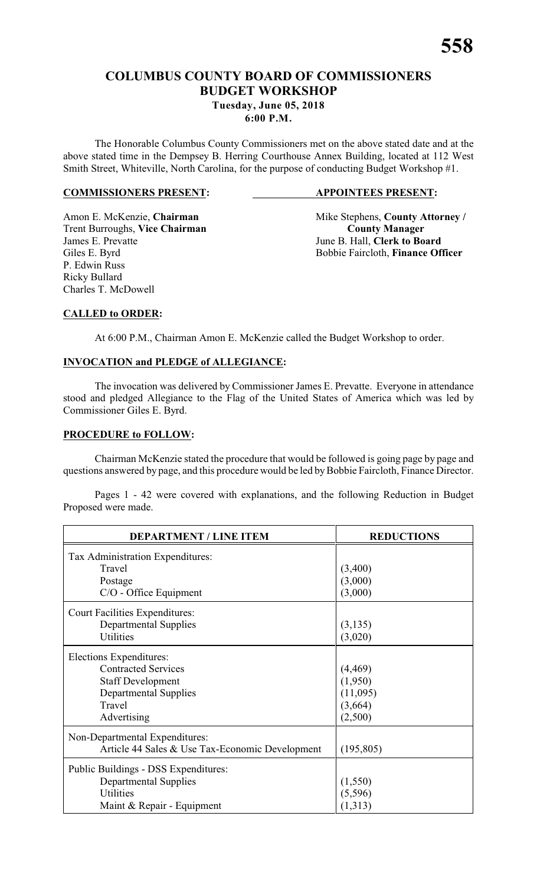# **COLUMBUS COUNTY BOARD OF COMMISSIONERS BUDGET WORKSHOP Tuesday, June 05, 2018**

**6:00 P.M.**

The Honorable Columbus County Commissioners met on the above stated date and at the above stated time in the Dempsey B. Herring Courthouse Annex Building, located at 112 West Smith Street, Whiteville, North Carolina, for the purpose of conducting Budget Workshop #1.

#### **COMMISSIONERS PRESENT: APPOINTEES PRESENT:**

Trent Burroughs, Vice Chairman<br>
James E. Prevatte<br>
June B. Hall, Clerk to Bo: James E. Prevatte<br>
Giles E. Byrd<br>
Giles E. Byrd<br>
Giles E. Byrd<br>
Giles E. Byrd<br>
Giles E. Byrd<br>
Giles E. Byrd<br>
Giles E. Byrd<br>
Giles E. Byrd<br>
Giles E. Byrd<br>
Giles E. Byrd<br>
Giles E. Byrd<br>
Giles E. Byrd<br>
Giles E. Byrd<br>
Giles E. P. Edwin Russ Ricky Bullard Charles T. McDowell

Amon E. McKenzie, **Chairman** Mike Stephens, **County Attorney** / Bobbie Faircloth, Finance Officer

## **CALLED to ORDER:**

At 6:00 P.M., Chairman Amon E. McKenzie called the Budget Workshop to order.

### **INVOCATION and PLEDGE of ALLEGIANCE:**

The invocation was delivered by Commissioner James E. Prevatte. Everyone in attendance stood and pledged Allegiance to the Flag of the United States of America which was led by Commissioner Giles E. Byrd.

#### **PROCEDURE to FOLLOW:**

Chairman McKenzie stated the procedure that would be followed is going page by page and questions answered by page, and this procedure would be led by Bobbie Faircloth, Finance Director.

Pages 1 - 42 were covered with explanations, and the following Reduction in Budget Proposed were made.

| <b>DEPARTMENT / LINE ITEM</b>                                                                                                              | <b>REDUCTIONS</b>                                     |
|--------------------------------------------------------------------------------------------------------------------------------------------|-------------------------------------------------------|
| Tax Administration Expenditures:<br>Travel<br>Postage<br>C/O - Office Equipment                                                            | (3,400)<br>(3,000)<br>(3,000)                         |
| <b>Court Facilities Expenditures:</b><br><b>Departmental Supplies</b><br>Utilities                                                         | (3, 135)<br>(3,020)                                   |
| Elections Expenditures:<br><b>Contracted Services</b><br><b>Staff Development</b><br><b>Departmental Supplies</b><br>Travel<br>Advertising | (4, 469)<br>(1,950)<br>(11,095)<br>(3,664)<br>(2,500) |
| Non-Departmental Expenditures:<br>Article 44 Sales & Use Tax-Economic Development                                                          | (195, 805)                                            |
| Public Buildings - DSS Expenditures:<br><b>Departmental Supplies</b><br>Utilities<br>Maint & Repair - Equipment                            | (1, 550)<br>(5, 596)<br>(1,313)                       |